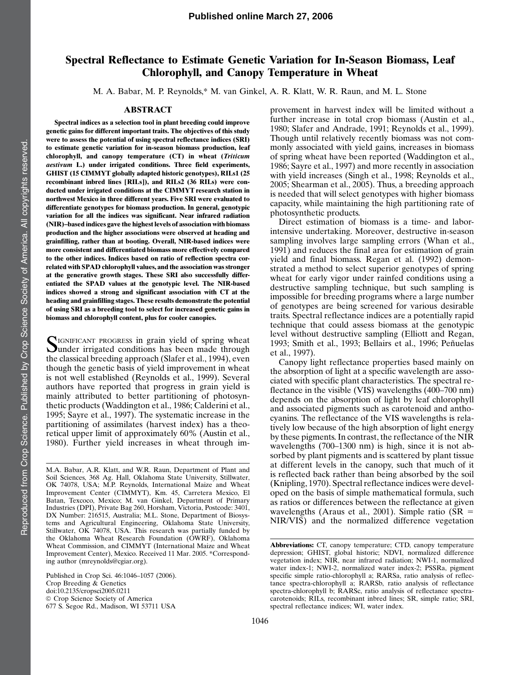# Spectral Reflectance to Estimate Genetic Variation for In-Season Biomass, Leaf Chlorophyll, and Canopy Temperature in Wheat

M. A. Babar, M. P. Reynolds,\* M. van Ginkel, A. R. Klatt, W. R. Raun, and M. L. Stone

### ABSTRACT

Spectral indices as a selection tool in plant breeding could improve genetic gains for different important traits. The objectives of this study were to assess the potential of using spectral reflectance indices (SRI) to estimate genetic variation for in-season biomass production, leaf chlorophyll, and canopy temperature (CT) in wheat (Triticum aestivum L.) under irrigated conditions. Three field experiments, GHIST (15 CIMMYT globally adapted historic genotypes), RILs1 (25 recombinant inbred lines [RILs]), and RILs2 (36 RILs) were conducted under irrigated conditions at the CIMMYT research station in northwest Mexico in three different years. Five SRI were evaluated to differentiate genotypes for biomass production. In general, genotypic variation for all the indices was significant. Near infrared radiation (NIR)–based indices gave the highest levels of association with biomass production and the higher associations were observed at heading and grainfilling, rather than at booting. Overall, NIR-based indices were more consistent and differentiated biomass more effectively compared to the other indices. Indices based on ratio of reflection spectra correlated with SPAD chlorophyll values, and the association was stronger at the generative growth stages. These SRI also successfully differentiated the SPAD values at the genotypic level. The NIR-based indices showed a strong and significant association with CT at the heading and grainfilling stages. These results demonstrate the potential of using SRI as a breeding tool to select for increased genetic gains in biomass and chlorophyll content, plus for cooler canopies.

SIGNIFICANT PROGRESS in grain yield of spring wheat<br>
under irrigated conditions has been made through the classical breeding approach (Slafer et al., 1994), even though the genetic basis of yield improvement in wheat is not well established (Reynolds et al., 1999). Several authors have reported that progress in grain yield is mainly attributed to better partitioning of photosynthetic products (Waddington et al., 1986; Calderini et al., 1995; Sayre et al., 1997). The systematic increase in the partitioning of assimilates (harvest index) has a theoretical upper limit of approximately 60% (Austin et al., 1980). Further yield increases in wheat through im-

Published in Crop Sci. 46:1046–1057 (2006). Crop Breeding & Genetics doi:10.2135/cropsci2005.0211  $©$  Crop Science Society of America 677 S. Segoe Rd., Madison, WI 53711 USA provement in harvest index will be limited without a further increase in total crop biomass (Austin et al., 1980; Slafer and Andrade, 1991; Reynolds et al., 1999). Though until relatively recently biomass was not commonly associated with yield gains, increases in biomass of spring wheat have been reported (Waddington et al., 1986; Sayre et al., 1997) and more recently in association with yield increases (Singh et al., 1998; Reynolds et al., 2005; Shearman et al., 2005). Thus, a breeding approach is needed that will select genotypes with higher biomass capacity, while maintaining the high partitioning rate of photosynthetic products.

Direct estimation of biomass is a time- and laborintensive undertaking. Moreover, destructive in-season sampling involves large sampling errors (Whan et al., 1991) and reduces the final area for estimation of grain yield and final biomass. Regan et al. (1992) demonstrated a method to select superior genotypes of spring wheat for early vigor under rainfed conditions using a destructive sampling technique, but such sampling is impossible for breeding programs where a large number of genotypes are being screened for various desirable traits. Spectral reflectance indices are a potentially rapid technique that could assess biomass at the genotypic level without destructive sampling (Elliott and Regan, 1993; Smith et al., 1993; Bellairs et al., 1996; Peñuelas et al., 1997).

Canopy light reflectance properties based mainly on the absorption of light at a specific wavelength are associated with specific plant characteristics. The spectral reflectance in the visible (VIS) wavelengths (400–700 nm) depends on the absorption of light by leaf chlorophyll and associated pigments such as carotenoid and anthocyanins. The reflectance of the VIS wavelengths is relatively low because of the high absorption of light energy by these pigments. In contrast, the reflectance of the NIR wavelengths (700–1300 nm) is high, since it is not absorbed by plant pigments and is scattered by plant tissue at different levels in the canopy, such that much of it is reflected back rather than being absorbed by the soil (Knipling, 1970). Spectral reflectance indices were developed on the basis of simple mathematical formula, such as ratios or differences between the reflectance at given wavelengths (Araus et al., 2001). Simple ratio ( $\overline{SR}$  = NIR/VIS) and the normalized difference vegetation

M.A. Babar, A.R. Klatt, and W.R. Raun, Department of Plant and Soil Sciences, 368 Ag. Hall, Oklahoma State University, Stillwater, OK 74078, USA; M.P. Reynolds, International Maize and Wheat Improvement Center (CIMMYT), Km. 45, Carretera Mexico, El Batan, Texcoco, Mexico; M. van Ginkel, Department of Primary Industries (DPI), Private Bag 260, Horsham, Victoria, Postcode: 3401, DX Number: 216515, Australia; M.L. Stone, Department of Biosystems and Agricultural Engineering, Oklahoma State University, Stillwater, OK 74078, USA. This research was partially funded by the Oklahoma Wheat Research Foundation (OWRF), Oklahoma Wheat Commission, and CIMMYT (International Maize and Wheat Improvement Center), Mexico. Received 11 Mar. 2005. \*Corresponding author (mreynolds@cgiar.org).

Abbreviations: CT, canopy temperature; CTD, canopy temperature depression; GHIST, global historic; NDVI, normalized difference vegetation index; NIR, near infrared radiation; NWI-1, normalized water index-1; NWI-2, normalized water index-2; PSSRa, pigment specific simple ratio-chlorophyll a; RARSa, ratio analysis of reflectance spectra-chlorophyll a; RARSb, ratio analysis of reflectance spectra-chlorophyll b; RARSc, ratio analysis of reflectance spectracarotenoids; RILs, recombinant inbred lines; SR, simple ratio; SRI, spectral reflectance indices; WI, water index.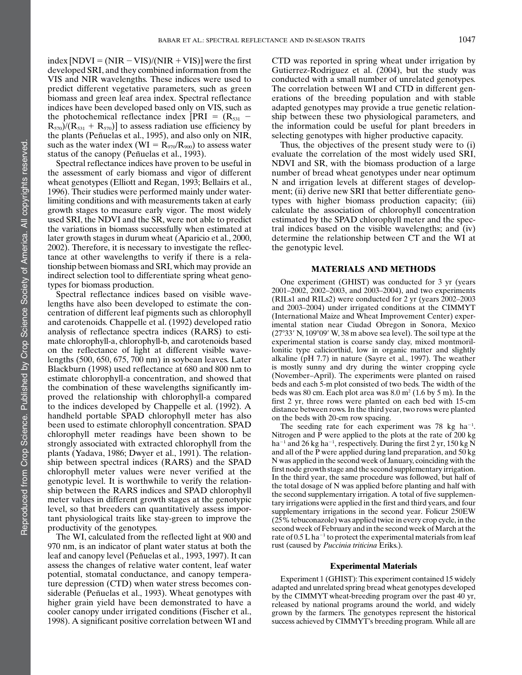index  $[NDVI = (NIR - VIS)/(NIR + VIS)]$  were the first developed SRI, and they combined information from the VIS and NIR wavelengths. These indices were used to predict different vegetative parameters, such as green biomass and green leaf area index. Spectral reflectance indices have been developed based only on VIS, such as the photochemical reflectance index [PRI =  $(R<sub>531</sub> - R<sub>531</sub>)$  $R_{570}$ )/( $R_{531} + R_{570}$ )] to assess radiation use efficiency by the plants (Peñuelas et al., 1995), and also only on NIR, such as the water index (WI =  $R_{970}/R_{900}$ ) to assess water status of the canopy (Peñuelas et al., 1993).

Spectral reflectance indices have proven to be useful in the assessment of early biomass and vigor of different wheat genotypes (Elliott and Regan, 1993; Bellairs et al., 1996). Their studies were performed mainly under waterlimiting conditions and with measurements taken at early growth stages to measure early vigor. The most widely used SRI, the NDVI and the SR, were not able to predict the variations in biomass successfully when estimated at later growth stages in durum wheat (Aparicio et al., 2000, 2002). Therefore, it is necessary to investigate the reflectance at other wavelengths to verify if there is a relationship between biomass and SRI, which may provide an indirect selection tool to differentiate spring wheat genotypes for biomass production.

Spectral reflectance indices based on visible wavelengths have also been developed to estimate the concentration of different leaf pigments such as chlorophyll and carotenoids. Chappelle et al. (1992) developed ratio analysis of reflectance spectra indices (RARS) to estimate chlorophyll-a, chlorophyll-b, and carotenoids based on the reflectance of light at different visible wavelengths (500, 650, 675, 700 nm) in soybean leaves. Later Blackburn (1998) used reflectance at 680 and 800 nm to estimate chlorophyll-a concentration, and showed that the combination of these wavelengths significantly improved the relationship with chlorophyll-a compared to the indices developed by Chappelle et al. (1992). A handheld portable SPAD chlorophyll meter has also been used to estimate chlorophyll concentration. SPAD chlorophyll meter readings have been shown to be strongly associated with extracted chlorophyll from the plants (Yadava, 1986; Dwyer et al., 1991). The relationship between spectral indices (RARS) and the SPAD chlorophyll meter values were never verified at the genotypic level. It is worthwhile to verify the relationship between the RARS indices and SPAD chlorophyll meter values in different growth stages at the genotypic level, so that breeders can quantitatively assess important physiological traits like stay-green to improve the productivity of the genotypes.

The WI, calculated from the reflected light at 900 and 970 nm, is an indicator of plant water status at both the leaf and canopy level (Peñuelas et al., 1993, 1997). It can assess the changes of relative water content, leaf water potential, stomatal conductance, and canopy temperature depression (CTD) when water stress becomes considerable (Peñuelas et al., 1993). Wheat genotypes with higher grain yield have been demonstrated to have a cooler canopy under irrigated conditions (Fischer et al., 1998). A significant positive correlation between WI and

CTD was reported in spring wheat under irrigation by Gutierrez-Rodriguez et al. (2004), but the study was conducted with a small number of unrelated genotypes. The correlation between WI and CTD in different generations of the breeding population and with stable adapted genotypes may provide a true genetic relationship between these two physiological parameters, and the information could be useful for plant breeders in selecting genotypes with higher productive capacity.

Thus, the objectives of the present study were to (i) evaluate the correlation of the most widely used SRI, NDVI and SR, with the biomass production of a large number of bread wheat genotypes under near optimum N and irrigation levels at different stages of development; (ii) derive new SRI that better differentiate genotypes with higher biomass production capacity; (iii) calculate the association of chlorophyll concentration estimated by the SPAD chlorophyll meter and the spectral indices based on the visible wavelengths; and (iv) determine the relationship between CT and the WI at the genotypic level.

#### MATERIALS AND METHODS

One experiment (GHIST) was conducted for 3 yr (years 2001–2002, 2002–2003, and 2003–2004), and two experiments (RILs1 and RILs2) were conducted for 2 yr (years 2002–2003 and 2003–2004) under irrigated conditions at the CIMMYT (International Maize and Wheat Improvement Center) experimental station near Ciudad Obregon in Sonora, Mexico  $(27°33' N, 109°09' W, 38 m$  above sea level). The soil type at the experimental station is coarse sandy clay, mixed montmorillonitic type caliciorthid, low in organic matter and slightly alkaline (pH 7.7) in nature (Sayre et al., 1997). The weather is mostly sunny and dry during the winter cropping cycle (November–April). The experiments were planted on raised beds and each 5-m plot consisted of two beds. The width of the beds was 80 cm. Each plot area was  $8.0 \text{ m}^2$  (1.6 by 5 m). In the first 2 yr, three rows were planted on each bed with 15-cm distance between rows. In the third year, two rows were planted on the beds with 20-cm row spacing.

The seeding rate for each experiment was 78 kg ha<sup>-1</sup>. Nitrogen and P were applied to the plots at the rate of 200 kg ha<sup>-1</sup> and 26 kg ha<sup>-1</sup>, respectively. During the first 2 yr, 150 kg N and all of the P were applied during land preparation, and 50 kg N was applied in the second week of January, coinciding with the first node growth stage and the second supplementary irrigation. In the third year, the same procedure was followed, but half of the total dosage of N was applied before planting and half with the second supplementary irrigation. A total of five supplementary irrigations were applied in the first and third years, and four supplementary irrigations in the second year. Folicur 250EW (25% tebuconazole) was applied twice in every crop cycle, in the second week of February and in the second week of March at the rate of  $0.5 L$  ha<sup>-1</sup> to protect the experimental materials from leaf rust (caused by Puccinia triticina Eriks.).

### Experimental Materials

Experiment 1 (GHIST): This experiment contained 15 widely adapted and unrelated spring bread wheat genotypes developed by the CIMMYT wheat-breeding program over the past 40 yr, released by national programs around the world, and widely grown by the farmers. The genotypes represent the historical success achieved by CIMMYT's breeding program. While all are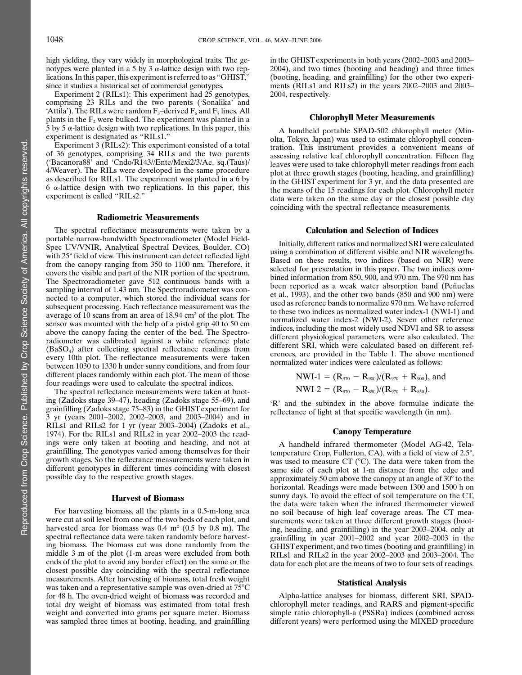high yielding, they vary widely in morphological traits. The genotypes were planted in a 5 by 3  $\alpha$ -lattice design with two replications. In this paper, this experiment is referred to as "GHIST," since it studies a historical set of commercial genotypes.

Experiment 2 (RILs1): This experiment had 25 genotypes, comprising 23 RILs and the two parents ('Sonalika' and 'Attila'). The RILs were random  $F_3$ -derived  $F_6$  and  $F_7$  lines. All plants in the  $F_2$  were bulked. The experiment was planted in a 5 by 5  $\alpha$ -lattice design with two replications. In this paper, this experiment is designated as "RILs1."

Experiment 3 (RILs2): This experiment consisted of a total of 36 genotypes, comprising 34 RILs and the two parents ('Bacanora88' and 'Cndo/R143//Ente/Mexi2/3/Ae. sq.(Taus)/ 4/Weaver). The RILs were developed in the same procedure as described for RILs1. The experiment was planted in a 6 by 6  $\alpha$ -lattice design with two replications. In this paper, this experiment is called "RILs2."

#### Radiometric Measurements

The spectral reflectance measurements were taken by a portable narrow-bandwidth Spectroradiometer (Model Field-Spec UV/VNIR, Analytical Spectral Devices, Boulder, CO) with 25<sup>°</sup> field of view. This instrument can detect reflected light from the canopy ranging from 350 to 1100 nm. Therefore, it covers the visible and part of the NIR portion of the spectrum. The Spectroradiometer gave 512 continuous bands with a sampling interval of 1.43 nm. The Spectroradiometer was connected to a computer, which stored the individual scans for subsequent processing. Each reflectance measurement was the average of 10 scans from an area of 18.94 cm<sup>2</sup> of the plot. The sensor was mounted with the help of a pistol grip 40 to 50 cm above the canopy facing the center of the bed. The Spectroradiometer was calibrated against a white reference plate (BaSO4) after collecting spectral reflectance readings from every 10th plot. The reflectance measurements were taken between 1030 to 1330 h under sunny conditions, and from four different places randomly within each plot. The mean of those four readings were used to calculate the spectral indices.

The spectral reflectance measurements were taken at booting (Zadoks stage 39–47), heading (Zadoks stage 55–69), and grainfilling (Zadoks stage 75–83) in the GHIST experiment for 3 yr (years 2001–2002, 2002–2003, and 2003–2004) and in RILs1 and RILs2 for 1 yr (year 2003–2004) (Zadoks et al., 1974). For the RILs1 and RILs2 in year 2002–2003 the readings were only taken at booting and heading, and not at grainfilling. The genotypes varied among themselves for their growth stages. So the reflectance measurements were taken in different genotypes in different times coinciding with closest possible day to the respective growth stages.

#### Harvest of Biomass

For harvesting biomass, all the plants in a 0.5-m-long area were cut at soil level from one of the two beds of each plot, and harvested area for biomass was  $0.4 \text{ m}^2$  (0.5 by 0.8 m). The spectral reflectance data were taken randomly before harvesting biomass. The biomass cut was done randomly from the middle 3 m of the plot (1-m areas were excluded from both ends of the plot to avoid any border effect) on the same or the closest possible day coinciding with the spectral reflectance measurements. After harvesting of biomass, total fresh weight was taken and a representative sample was oven-dried at  $75^{\circ}$ C for 48 h. The oven-dried weight of biomass was recorded and total dry weight of biomass was estimated from total fresh weight and converted into grams per square meter. Biomass was sampled three times at booting, heading, and grainfilling in the GHIST experiments in both years (2002–2003 and 2003– 2004), and two times (booting and heading) and three times (booting, heading, and grainfilling) for the other two experiments (RILs1 and RILs2) in the years 2002–2003 and 2003– 2004, respectively.

#### Chlorophyll Meter Measurements

A handheld portable SPAD-502 chlorophyll meter (Minolta, Tokyo, Japan) was used to estimate chlorophyll concentration. This instrument provides a convenient means of assessing relative leaf chlorophyll concentration. Fifteen flag leaves were used to take chlorophyll meter readings from each plot at three growth stages (booting, heading, and grainfilling) in the GHIST experiment for 3 yr, and the data presented are the means of the 15 readings for each plot. Chlorophyll meter data were taken on the same day or the closest possible day coinciding with the spectral reflectance measurements.

#### Calculation and Selection of Indices

Initially, different ratios and normalized SRI were calculated using a combination of different visible and NIR wavelengths. Based on these results, two indices (based on NIR) were selected for presentation in this paper. The two indices combined information from 850, 900, and 970 nm. The 970 nm has been reported as a weak water absorption band (Peñuelas et al., 1993), and the other two bands (850 and 900 nm) were used as reference bands to normalize 970 nm. We have referred to these two indices as normalized water index-1 (NWI-1) and normalized water index-2 (NWI-2). Seven other reference indices, including the most widely used NDVI and SR to assess different physiological parameters, were also calculated. The different SRI, which were calculated based on different references, are provided in the Table 1. The above mentioned normalized water indices were calculated as follows:

$$
NWI-1 = (R_{970} - R_{900})/(R_{970} + R_{900}), and
$$
  
\n
$$
NWI-2 = (R_{970} - R_{850})/(R_{970} + R_{850}).
$$

'R' and the subindex in the above formulae indicate the reflectance of light at that specific wavelength (in nm).

### Canopy Temperature

A handheld infrared thermometer (Model AG-42, Telatemperature Crop, Fullerton, CA), with a field of view of  $2.5^{\circ}$ , was used to measure CT  $(°C)$ . The data were taken from the same side of each plot at 1-m distance from the edge and approximately 50 cm above the canopy at an angle of  $30^{\circ}$  to the horizontal. Readings were made between 1300 and 1500 h on sunny days. To avoid the effect of soil temperature on the CT, the data were taken when the infrared thermometer viewed no soil because of high leaf coverage areas. The CT measurements were taken at three different growth stages (booting, heading, and grainfilling) in the year 2003–2004, only at grainfilling in year 2001–2002 and year 2002–2003 in the GHIST experiment, and two times (booting and grainfilling) in RILs1 and RILs2 in the year 2002–2003 and 2003–2004. The data for each plot are the means of two to four sets of readings.

#### Statistical Analysis

Alpha-lattice analyses for biomass, different SRI, SPADchlorophyll meter readings, and RARS and pigment-specific simple ratio chlorophyll-a (PSSRa) indices (combined across different years) were performed using the MIXED procedure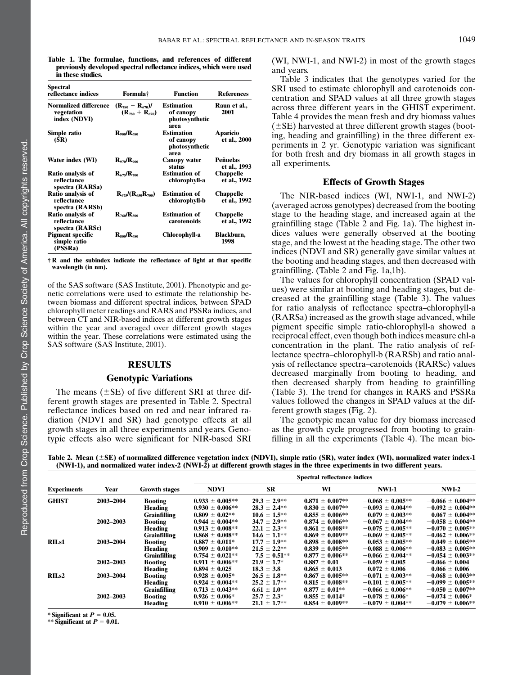Table 1. The formulae, functions, and references of different previously developed spectral reflectance indices, which were used in these studies.

| Spectral<br>reflectance indices                     | Formula†                                        | <b>Function</b>                                          | <b>References</b>                |
|-----------------------------------------------------|-------------------------------------------------|----------------------------------------------------------|----------------------------------|
| Normalized difference<br>vegetation<br>index (NDVI) | $(R_{780} - R_{670})/$<br>$(R_{780} + R_{670})$ | <b>Estimation</b><br>of canopy<br>photosynthetic<br>area | Raun et al.,<br>2001             |
| Simple ratio<br>(SR)                                | $R_{\rm oo0}/R_{\rm oso}$                       | <b>Estimation</b><br>of canopy<br>photosynthetic<br>area | Aparicio<br>et al., 2000         |
| Water index (WI)                                    | $R_{\alpha 70} / R_{\alpha 00}$                 | Canopy water<br>status                                   | <b>Peñuelas</b><br>et al., 1993  |
| Ratio analysis of<br>reflectance<br>spectra (RARSa) | $R_{675}/R_{700}$                               | <b>Estimation of</b><br>chlorophyll-a                    | <b>Chappelle</b><br>et al., 1992 |
| Ratio analysis of<br>reflectance<br>spectra (RARSb) | $R_{675}/(R_{650}R_{700})$                      | <b>Estimation of</b><br>chlorophyll-b                    | Chappelle<br>et al., 1992        |
| Ratio analysis of<br>reflectance<br>spectra (RARSc) | $R_{760}/R_{500}$                               | <b>Estimation of</b><br>carotenoids                      | Chappelle<br>et al., 1992        |
| <b>Pigment specific</b><br>simple ratio<br>(PSSRa)  | $R_{\rm so0}/R_{\rm os0}$                       | Chlorophyll-a                                            | Blackburn,<br>1998               |

 $\dagger$  R and the subindex indicate the reflectance of light at that specific wavelength (in nm).

of the SAS software (SAS Institute, 2001). Phenotypic and genetic correlations were used to estimate the relationship between biomass and different spectral indices, between SPAD chlorophyll meter readings and RARS and PSSRa indices, and between CT and NIR-based indices at different growth stages within the year and averaged over different growth stages within the year. These correlations were estimated using the SAS software (SAS Institute, 2001).

### RESULTS

### Genotypic Variations

The means ( $\pm$ SE) of five different SRI at three different growth stages are presented in Table 2. Spectral reflectance indices based on red and near infrared radiation (NDVI and SR) had genotype effects at all growth stages in all three experiments and years. Genotypic effects also were significant for NIR-based SRI (WI, NWI-1, and NWI-2) in most of the growth stages and years.

Table 3 indicates that the genotypes varied for the SRI used to estimate chlorophyll and carotenoids concentration and SPAD values at all three growth stages across three different years in the GHIST experiment. Table 4 provides the mean fresh and dry biomass values  $(\pm$ SE) harvested at three different growth stages (booting, heading and grainfilling) in the three different experiments in 2 yr. Genotypic variation was significant for both fresh and dry biomass in all growth stages in all experiments.

# Effects of Growth Stages

The NIR-based indices (WI, NWI-1, and NWI-2) (averaged across genotypes) decreased from the booting stage to the heading stage, and increased again at the grainfilling stage (Table 2 and Fig. 1a). The highest indices values were generally observed at the booting stage, and the lowest at the heading stage. The other two indices (NDVI and SR) generally gave similar values at the booting and heading stages, and then decreased with grainfilling. (Table 2 and Fig. 1a,1b).

The values for chlorophyll concentration (SPAD values) were similar at booting and heading stages, but decreased at the grainfilling stage (Table 3). The values for ratio analysis of reflectance spectra–chlorophyll-a (RARSa) increased as the growth stage advanced, while pigment specific simple ratio-chlorophyll-a showed a reciprocal effect, even though both indices measure chl-a concentration in the plant. The ratio analysis of reflectance spectra–chlorophyll-b (RARSb) and ratio analysis of reflectance spectra–carotenoids (RARSc) values decreased marginally from booting to heading, and then decreased sharply from heading to grainfilling (Table 3). The trend for changes in RARS and PSSRa values followed the changes in SPAD values at the different growth stages (Fig. 2).

The genotypic mean value for dry biomass increased as the growth cycle progressed from booting to grainfilling in all the experiments (Table 4). The mean bio-

Table 2. Mean  $(\pm SE)$  of normalized difference vegetation index (NDVI), simple ratio (SR), water index (WI), normalized water index-1 (NWI-1), and normalized water index-2 (NWI-2) at different growth stages in the three experiments in two different years.

|                    |           |                      | <b>Spectral reflectance indices</b> |                   |                     |                       |                      |  |  |
|--------------------|-----------|----------------------|-------------------------------------|-------------------|---------------------|-----------------------|----------------------|--|--|
| <b>Experiments</b> | Year      | <b>Growth stages</b> | <b>NDVI</b>                         | <b>SR</b>         | WI                  | NWI-1                 | $NWI-2$              |  |  |
| <b>GHIST</b>       | 2003-2004 | <b>Booting</b>       | $0.933 \pm 0.005***$                | $29.3 \pm 2.9**$  | $0.871 \pm 0.007**$ | $-0.068 \pm 0.005**$  | $-0.066 \pm 0.004**$ |  |  |
|                    |           | Heading              | $0.930 \pm 0.006**$                 | $28.3 \pm 2.4**$  | $0.830 \pm 0.007**$ | $-0.093 \pm 0.004**$  | $-0.092 \pm 0.004**$ |  |  |
|                    |           | <b>Grainfilling</b>  | $0.809 \pm 0.02**$                  | $10.6 \pm 1.5$ ** | $0.855 \pm 0.006**$ | $-0.079 \pm 0.003**$  | $-0.067 \pm 0.004**$ |  |  |
|                    | 2002-2003 | <b>Booting</b>       | $0.944 \pm 0.004**$                 | $34.7 \pm 2.9$ ** | $0.874 \pm 0.006**$ | $-0.067 \pm 0.004**$  | $-0.058 \pm 0.004**$ |  |  |
|                    |           | Heading              | $0.913 \pm 0.008**$                 | $22.1 \pm 2.3$ ** | $0.861 \pm 0.008**$ | $-0.075 \pm 0.005**$  | $-0.070 \pm 0.005**$ |  |  |
|                    |           | <b>Grainfilling</b>  | $0.868 \pm 0.008**$                 | $14.6 \pm 1.1**$  | $0.869 \pm 0.009**$ | $-0.069 \pm 0.005**$  | $-0.062 \pm 0.006**$ |  |  |
| <b>RILs1</b>       | 2003-2004 | <b>Booting</b>       | $0.887 \pm 0.011^*$                 | $17.7 \pm 1.9**$  | $0.898 \pm 0.008**$ | $-0.053 \pm 0.005***$ | $-0.049 \pm 0.005**$ |  |  |
|                    |           | Heading              | $0.909 \pm 0.010**$                 | $21.5 \pm 2.2**$  | $0.839 \pm 0.005**$ | $-0.088 \pm 0.006**$  | $-0.083 \pm 0.005**$ |  |  |
|                    |           | <b>Grainfilling</b>  | $0.754 \pm 0.021$ **                | $7.5 \pm 0.51**$  | $0.877 \pm 0.006**$ | $-0.066 \pm 0.004**$  | $-0.054 \pm 0.003**$ |  |  |
|                    | 2002-2003 | <b>Booting</b>       | $0.911 \pm 0.006**$                 | $21.9 \pm 1.7^*$  | $0.887 \pm 0.01$    | $-0.059 \pm 0.005$    | $-0.066 \pm 0.004$   |  |  |
|                    |           | Heading              | $0.894 \pm 0.025$                   | $18.3 \pm 3.8$    | $0.865 \pm 0.013$   | $-0.072 \pm 0.006$    | $-0.066 \pm 0.006$   |  |  |
| RILs2              | 2003-2004 | <b>Booting</b>       | $0.928 \pm 0.005^*$                 | $26.5 \pm 1.8$ ** | $0.867 \pm 0.005**$ | $-0.071 \pm 0.003**$  | $-0.068 \pm 0.003**$ |  |  |
|                    |           | Heading              | $0.924 \pm 0.004**$                 | $25.2 \pm 1.7**$  | $0.815 \pm 0.008**$ | $-0.101 \pm 0.005**$  | $-0.099 \pm 0.005**$ |  |  |
|                    |           | <b>Grainfilling</b>  | $0.713 \pm 0.043$ **                | $6.61 \pm 1.0**$  | $0.877 \pm 0.01**$  | $-0.066 \pm 0.006$ ** | $-0.050 \pm 0.007**$ |  |  |
|                    | 2002-2003 | <b>Booting</b>       | $0.926 \pm 0.006^*$                 | $25.7 \pm 2.3^*$  | $0.855 \pm 0.014^*$ | $-0.078 \pm 0.006*$   | $-0.074 \pm 0.006*$  |  |  |
|                    |           | Heading              | $0.910 \pm 0.006***$                | $21.1 \pm 1.7**$  | $0.854 \pm 0.009**$ | $-0.079 \pm 0.004**$  | $-0.079 \pm 0.006**$ |  |  |

\* Significant at  $P = 0.05$ .

\*\* Significant at  $P = 0.01$ .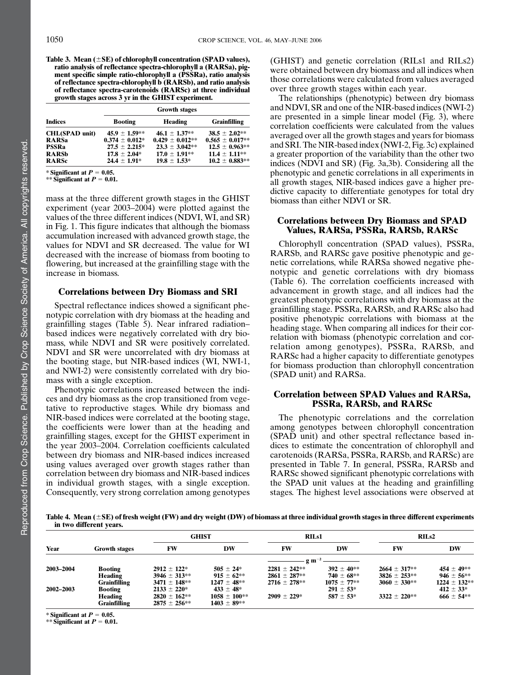Table 3. Mean  $(\pm SE)$  of chlorophyll concentration (SPAD values), ratio analysis of reflectance spectra-chlorophyll a (RARSa), pigment specific simple ratio-chlorophyll a (PSSRa), ratio analysis of reflectance spectra-chlorophyll b (RARSb), and ratio analysis of reflectance spectra-carotenoids (RARSc) at three individual growth stages across 3 yr in the GHIST experiment.

|                       | <b>Growth stages</b> |                     |                     |  |  |  |  |
|-----------------------|----------------------|---------------------|---------------------|--|--|--|--|
| <b>Indices</b>        | <b>Booting</b>       | Heading             | <b>Grainfilling</b> |  |  |  |  |
| <b>CHL(SPAD unit)</b> | $45.9 \pm 1.59**$    | $46.1 \pm 1.37**$   | $38.5 \pm 2.02**$   |  |  |  |  |
| <b>RARSa</b>          | $0.374 \pm 0.012*$   | $0.429 \pm 0.012**$ | $0.565 \pm 0.017**$ |  |  |  |  |
| <b>PSSRa</b>          | $27.5 \pm 2.215^*$   | $23.3 \pm 3.042**$  | $12.5 \pm 0.963**$  |  |  |  |  |
| <b>RARSb</b>          | $17.8 \pm 2.04*$     | $17.0 \pm 1.91**$   | $11.4 \pm 1.11**$   |  |  |  |  |
| <b>RARSc</b>          | $24.4 \pm 1.91*$     | $19.8 \pm 1.53*$    | $10.2 \pm 0.883**$  |  |  |  |  |

\* Significant at  $P = 0.05$ . \*\* Significant at  $P = 0.01$ .

mass at the three different growth stages in the GHIST experiment (year 2003–2004) were plotted against the values of the three different indices (NDVI, WI, and SR) in Fig. 1. This figure indicates that although the biomass accumulation increased with advanced growth stage, the values for NDVI and SR decreased. The value for WI decreased with the increase of biomass from booting to flowering, but increased at the grainfilling stage with the increase in biomass.

### Correlations between Dry Biomass and SRI

Spectral reflectance indices showed a significant phenotypic correlation with dry biomass at the heading and grainfilling stages (Table 5). Near infrared radiation– based indices were negatively correlated with dry biomass, while NDVI and SR were positively correlated. NDVI and SR were uncorrelated with dry biomass at the booting stage, but NIR-based indices (WI, NWI-1, and NWI-2) were consistently correlated with dry biomass with a single exception.

Phenotypic correlations increased between the indices and dry biomass as the crop transitioned from vegetative to reproductive stages. While dry biomass and NIR-based indices were correlated at the booting stage, the coefficients were lower than at the heading and grainfilling stages, except for the GHIST experiment in the year 2003–2004. Correlation coefficients calculated between dry biomass and NIR-based indices increased using values averaged over growth stages rather than correlation between dry biomass and NIR-based indices in individual growth stages, with a single exception. Consequently, very strong correlation among genotypes (GHIST) and genetic correlation (RILs1 and RILs2) were obtained between dry biomass and all indices when those correlations were calculated from values averaged over three growth stages within each year.

The relationships (phenotypic) between dry biomass and NDVI, SR and one of the NIR-based indices (NWI-2) are presented in a simple linear model (Fig. 3), where correlation coefficients were calculated from the values averaged over all the growth stages and years for biomass and SRI. The NIR-based index (NWI-2, Fig. 3c) explained a greater proportion of the variability than the other two indices (NDVI and SR) (Fig. 3a,3b). Considering all the phenotypic and genetic correlations in all experiments in all growth stages, NIR-based indices gave a higher predictive capacity to differentiate genotypes for total dry biomass than either NDVI or SR.

# Correlations between Dry Biomass and SPAD Values, RARSa, PSSRa, RARSb, RARSc

Chlorophyll concentration (SPAD values), PSSRa, RARSb, and RARSc gave positive phenotypic and genetic correlations, while RARSa showed negative phenotypic and genetic correlations with dry biomass (Table 6). The correlation coefficients increased with advancement in growth stage, and all indices had the greatest phenotypic correlations with dry biomass at the grainfilling stage. PSSRa, RARSb, and RARSc also had positive phenotypic correlations with biomass at the heading stage. When comparing all indices for their correlation with biomass (phenotypic correlation and correlation among genotypes), PSSRa, RARSb, and RARSc had a higher capacity to differentiate genotypes for biomass production than chlorophyll concentration (SPAD unit) and RARSa.

# Correlation between SPAD Values and RARSa, PSSRa, RARSb, and RARSc

The phenotypic correlations and the correlation among genotypes between chlorophyll concentration (SPAD unit) and other spectral reflectance based indices to estimate the concentration of chlorophyll and carotenoids (RARSa, PSSRa, RARSb, and RARSc) are presented in Table 7. In general, PSSRa, RARSb and RARSc showed significant phenotypic correlations with the SPAD unit values at the heading and grainfilling stages. The highest level associations were observed at

Table 4. Mean  $(\pm SE)$  of fresh weight (FW) and dry weight (DW) of biomass at three individual growth stages in three different experiments in two different years.

|           |                      |                  | <b>GHIST</b>     |                         | <b>RILs1</b>    |                  | RILs2            |  |
|-----------|----------------------|------------------|------------------|-------------------------|-----------------|------------------|------------------|--|
| Year      | <b>Growth stages</b> | FW               | DW               | FW                      | DW              | <b>FW</b>        | DW               |  |
|           |                      |                  |                  | $-g \, \text{m}^{-2}$ — |                 |                  |                  |  |
| 2003-2004 | <b>Booting</b>       | $2912 \pm 122$ * | $505 \pm 24*$    | $2281 \pm 242**$        | $392 + 40**$    | $2664 \pm 317**$ | $454 \pm 49**$   |  |
|           | Heading              | $3946 \pm 313**$ | $915 \pm 62$ **  | $2861 \pm 287**$        | $740 \pm 68$ ** | $3826 \pm 253**$ | $946 \pm 56$ **  |  |
|           | <b>Grainfilling</b>  | $3471 \pm 148**$ | $1247 \pm 48**$  | $2716 \pm 278**$        | $1075 \pm 77**$ | $3060 \pm 330**$ | $1224 \pm 132**$ |  |
| 2002-2003 | Booting              | $2133 \pm 220^*$ | $433 \pm 48^*$   |                         | $291 \pm 53*$   |                  | $412 \pm 33*$    |  |
|           | Heading              | $2820 \pm 162**$ | $1058 \pm 100**$ | $2909 + 229*$           | $587 \pm 53*$   | $3322 \pm 220**$ | $666 \pm 54**$   |  |
|           | Grainfilling         | $2875 \pm 256**$ | $1403 \pm 89**$  |                         |                 |                  |                  |  |

\* Significant at  $P = 0.05$ .

\*\* Significant at  $P = 0.01$ .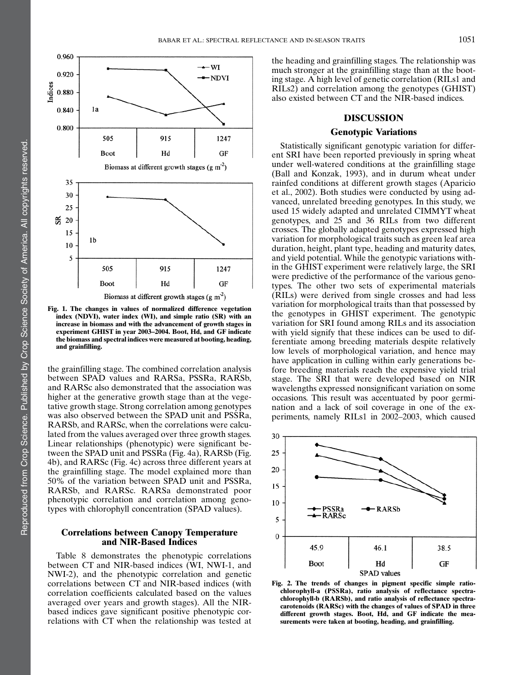

Fig. 1. The changes in values of normalized difference vegetation index (NDVI), water index (WI), and simple ratio (SR) with an increase in biomass and with the advancement of growth stages in experiment GHIST in year 2003–2004. Boot, Hd, and GF indicate the biomass and spectral indices were measured at booting, heading, and grainfilling.

the grainfilling stage. The combined correlation analysis between SPAD values and RARSa, PSSRa, RARSb, and RARSc also demonstrated that the association was higher at the generative growth stage than at the vegetative growth stage. Strong correlation among genotypes was also observed between the SPAD unit and PSSRa, RARSb, and RARSc, when the correlations were calculated from the values averaged over three growth stages. Linear relationships (phenotypic) were significant between the SPAD unit and PSSRa (Fig. 4a), RARSb (Fig. 4b), and RARSc (Fig. 4c) across three different years at the grainfilling stage. The model explained more than 50% of the variation between SPAD unit and PSSRa, RARSb, and RARSc. RARSa demonstrated poor phenotypic correlation and correlation among genotypes with chlorophyll concentration (SPAD values).

# Correlations between Canopy Temperature and NIR-Based Indices

Table 8 demonstrates the phenotypic correlations between CT and NIR-based indices (WI, NWI-1, and NWI-2), and the phenotypic correlation and genetic correlations between CT and NIR-based indices (with correlation coefficients calculated based on the values averaged over years and growth stages). All the NIRbased indices gave significant positive phenotypic correlations with CT when the relationship was tested at the heading and grainfilling stages. The relationship was much stronger at the grainfilling stage than at the booting stage. A high level of genetic correlation (RILs1 and RILs2) and correlation among the genotypes (GHIST) also existed between CT and the NIR-based indices.

# DISCUSSION

# Genotypic Variations

Statistically significant genotypic variation for different SRI have been reported previously in spring wheat under well-watered conditions at the grainfilling stage (Ball and Konzak, 1993), and in durum wheat under rainfed conditions at different growth stages (Aparicio et al., 2002). Both studies were conducted by using advanced, unrelated breeding genotypes. In this study, we used 15 widely adapted and unrelated CIMMYT wheat genotypes, and 25 and 36 RILs from two different crosses. The globally adapted genotypes expressed high variation for morphological traits such as green leaf area duration, height, plant type, heading and maturity dates, and yield potential. While the genotypic variations within the GHIST experiment were relatively large, the SRI were predictive of the performance of the various genotypes. The other two sets of experimental materials (RILs) were derived from single crosses and had less variation for morphological traits than that possessed by the genotypes in GHIST experiment. The genotypic variation for SRI found among RILs and its association with yield signify that these indices can be used to differentiate among breeding materials despite relatively low levels of morphological variation, and hence may have application in culling within early generations before breeding materials reach the expensive yield trial stage. The SRI that were developed based on NIR wavelengths expressed nonsignificant variation on some occasions. This result was accentuated by poor germination and a lack of soil coverage in one of the experiments, namely RILs1 in 2002–2003, which caused



Fig. 2. The trends of changes in pigment specific simple ratiochlorophyll-a (PSSRa), ratio analysis of reflectance spectrachlorophyll-b (RARSb), and ratio analysis of reflectance spectracarotenoids (RARSc) with the changes of values of SPAD in three different growth stages. Boot, Hd, and GF indicate the measurements were taken at booting, heading, and grainfilling.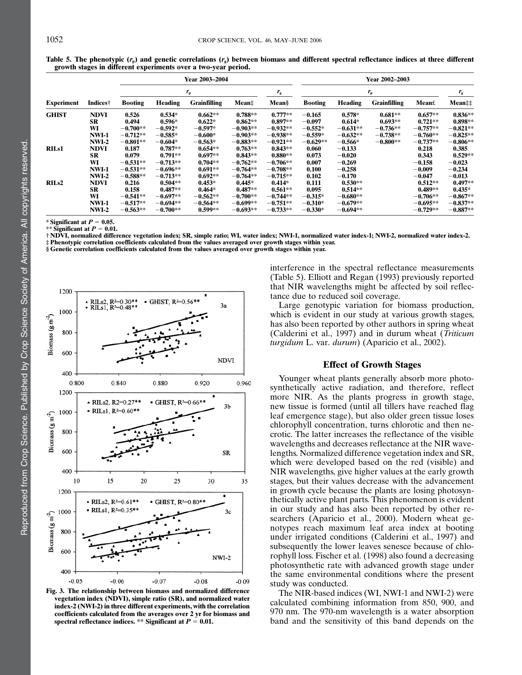|                   |              |                | Year 2003-2004 |                     |            |             |                | <b>Year 2002–2003</b> |                     |            |             |  |
|-------------------|--------------|----------------|----------------|---------------------|------------|-------------|----------------|-----------------------|---------------------|------------|-------------|--|
|                   |              |                |                | $r_{\rm p}$         |            | $r_{\rm g}$ |                |                       | $r_{\rm p}$         |            | $r_{\rm g}$ |  |
| <b>Experiment</b> | Indices†     | <b>Booting</b> | Heading        | <b>Grainfilling</b> | Mean‡      | Mean§       | <b>Booting</b> | Heading               | <b>Grainfilling</b> | Mean£      | Mean‡‡      |  |
| <b>GHIST</b>      | <b>NDVI</b>  | 0.526          | $0.534*$       | $0.662**$           | $0.788**$  | $0.777**$   | $-0.165$       | $0.578*$              | $0.681**$           | $0.657**$  | $0.836**$   |  |
|                   | SR           | 0.494          | $0.596*$       | $0.622*$            | $0.862**$  | $0.897**$   | $-0.097$       | $0.614*$              | $0.693**$           | $0.721**$  | $0.898**$   |  |
|                   | WI           | $-0.700**$     | $-0.592*$      | $-0.597*$           | $-0.903**$ | $-0.932**$  | $-0.552*$      | $-0.631**$            | $-0.736**$          | $-0.757**$ | $-0.821**$  |  |
|                   | <b>NWI-1</b> | $-0.712**$     | $-0.585*$      | $-0.600*$           | $-0.903**$ | $-0.938**$  | $-0.559*$      | $-0.632**$            | $-0.738**$          | $-0.760**$ | $-0.825**$  |  |
|                   | <b>NWI-2</b> | $-0.801**$     | $-0.604*$      | $-0.563*$           | $-0.883**$ | $-0.921**$  | $-0.629**$     | $-0.566*$             | $-0.800**$          | $-0.737**$ | $-0.806**$  |  |
| <b>RILs1</b>      | <b>NDVI</b>  | 0.187          | $0.787**$      | $0.654**$           | $0.763**$  | $0.843**$   | 0.060          | $-0.133$              |                     | 0.218      | 0.385       |  |
|                   | <b>SR</b>    | 0.079          | $0.791**$      | $0.697**$           | $0.843**$  | $0.880**$   | 0.073          | $-0.020$              |                     | 0.343      | $0.529**$   |  |
|                   | WI           | $-0.531**$     | $-0.713**$     | $0.704**$           | $-0.762**$ | $-0.706**$  | 0.007          | $-0.269$              |                     | $-0.158$   | $-0.023$    |  |
|                   | <b>NWI-1</b> | $-0.531**$     | $-0.696**$     | $0.691**$           | $-0.764**$ | $-0.708**$  | 0.100          | $-0.258$              |                     | $-0.009$   | $-0.234$    |  |
|                   | $NWI-2$      | $-0.588**$     | $-0.713**$     | $0.692**$           | $-0.764**$ | $-0.715**$  | 0.102          | $-0.170$              |                     | $-0.047$   | $-0.013$    |  |
| RIL <sub>s2</sub> | <b>NDVI</b>  | 0.216          | $0.504**$      | $0.453*$            | $0.445*$   | $0.414*$    | 0.111          | $0.530**$             |                     | $0.512**$  | $0.497**$   |  |
|                   | SR           | 0.158          | $0.487**$      | $0.464*$            | $0.487**$  | $0.561**$   | 0.095          | $0.514**$             |                     | $0.489**$  | $0.435*$    |  |
|                   | WI           | $-0.541**$     | $-0.697**$     | $-0.562**$          | $-0.700**$ | $-0.744**$  | $-0.315*$      | $-0.680**$            |                     | $-0.706**$ | $-0.867**$  |  |
|                   | <b>NWI-1</b> | $-0.517**$     | $-0.694**$     | $-0.564**$          | $-0.699**$ | $-0.751**$  | $-0.310*$      | $-0.679**$            |                     | $-0.695**$ | $-0.837**$  |  |
|                   | $NWI-2$      | $-0.563**$     | $-0.700**$     | $0.599**$           | $-0.693**$ | $-0.733**$  | $-0.330*$      | $-0.694**$            |                     | $-0.729**$ | $-0.887**$  |  |

Table 5. The phenotypic  $(r_p)$  and genetic correlations  $(r_q)$  between biomass and different spectral reflectance indices at three different growth stages in different experiments over a two-year period.

\* Significant at  $P = 0.05$ . \*\* Significant at  $P = 0.01$ .

† NDVI, normalized difference vegetation index; SR, simple ratio; WI, water index; NWI-1, normalized water index-1; NWI-2, normalized water index-2. ‡ Phenotypic correlation coefficients calculated from the values averaged over growth stages within year.

§ Genetic correlation coefficients calculated from the values averaged over growth stages within year.



Fig. 3. The relationship between biomass and normalized difference vegetation index (NDVI), simple ratio (SR), and normalized water index-2 (NWI-2) in three different experiments, with the correlation coefficients calculated from the averages over 2 yr for biomass and spectral reflectance indices. \*\* Significant at  $P = 0.01$ .

interference in the spectral reflectance measurements (Table 5). Elliott and Regan (1993) previously reported that NIR wavelengths might be affected by soil reflectance due to reduced soil coverage.

Large genotypic variation for biomass production, which is evident in our study at various growth stages, has also been reported by other authors in spring wheat (Calderini et al., 1997) and in durum wheat (Triticum turgidum L. var. durum) (Aparicio et al., 2002).

### Effect of Growth Stages

Younger wheat plants generally absorb more photosynthetically active radiation, and therefore, reflect more NIR. As the plants progress in growth stage, new tissue is formed (until all tillers have reached flag leaf emergence stage), but also older green tissue loses chlorophyll concentration, turns chlorotic and then necrotic. The latter increases the reflectance of the visible wavelengths and decreases reflectance at the NIR wavelengths. Normalized difference vegetation index and SR, which were developed based on the red (visible) and NIR wavelengths, give higher values at the early growth stages, but their values decrease with the advancement in growth cycle because the plants are losing photosynthetically active plant parts. This phenomenon is evident in our study and has also been reported by other researchers (Aparicio et al., 2000). Modern wheat genotypes reach maximum leaf area index at booting under irrigated conditions (Calderini et al., 1997) and subsequently the lower leaves senesce because of chlorophyll loss. Fischer et al. (1998) also found a decreasing photosynthetic rate with advanced growth stage under the same environmental conditions where the present study was conducted.

The NIR-based indices (WI, NWI-1 and NWI-2) were calculated combining information from 850, 900, and 970 nm. The 970-nm wavelength is a water absorption band and the sensitivity of this band depends on the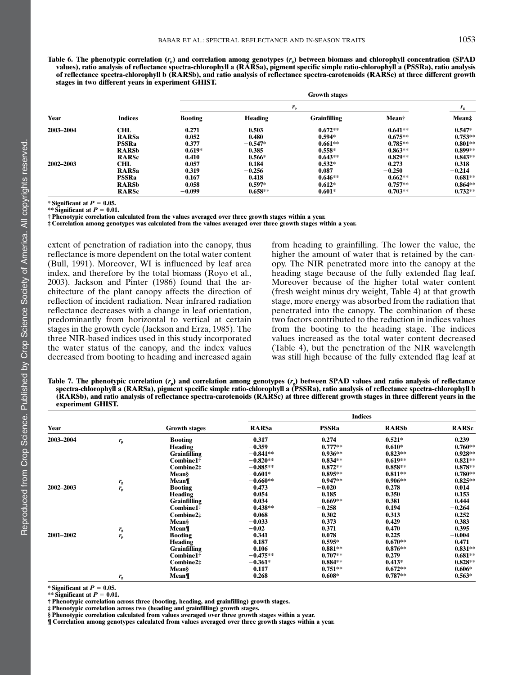Table 6. The phenotypic correlation  $(r_p)$  and correlation among genotypes  $(r_g)$  between biomass and chlorophyll concentration (SPAD values), ratio analysis of reflectance spectra-chlorophyll a (RARSa), pigment specific simple ratio-chlorophyll a (PSSRa), ratio analysis of reflectance spectra-chlorophyll b (RARSb), and ratio analysis of reflectance spectra-carotenoids (RARSc) at three different growth stages in two different years in experiment GHIST.

|           |                | <b>Growth stages</b> |           |                     |                   |            |  |  |
|-----------|----------------|----------------------|-----------|---------------------|-------------------|------------|--|--|
|           |                | $r_{\rm p}$          |           |                     |                   |            |  |  |
| Year      | <b>Indices</b> | <b>Booting</b>       | Heading   | <b>Grainfilling</b> | Mean <sup>†</sup> | Mean‡      |  |  |
| 2003-2004 | <b>CHL</b>     | 0.271                | 0.503     | $0.672**$           | $0.641**$         | $0.547*$   |  |  |
|           | <b>RARSa</b>   | $-0.052$             | $-0.480$  | $-0.594*$           | $-0.675**$        | $-0.753**$ |  |  |
|           | <b>PSSRa</b>   | 0.377                | $-0.547*$ | $0.661**$           | $0.785**$         | $0.801**$  |  |  |
|           | <b>RARSb</b>   | $0.619*$             | 0.385     | $0.558*$            | $0.863**$         | $0.899**$  |  |  |
|           | <b>RARSc</b>   | 0.410                | $0.566*$  | $0.643**$           | $0.829**$         | $0.843**$  |  |  |
| 2002-2003 | CHL            | 0.057                | 0.184     | $0.532*$            | 0.273             | 0.318      |  |  |
|           | <b>RARSa</b>   | 0.319                | $-0.256$  | 0.087               | $-0.250$          | $-0.214$   |  |  |
|           | <b>PSSRa</b>   | 0.167                | 0.418     | $0.646**$           | $0.662**$         | $0.681**$  |  |  |
|           | <b>RARSb</b>   | 0.058                | $0.597*$  | $0.612*$            | $0.757**$         | $0.864**$  |  |  |
|           | <b>RARSc</b>   | $-0.099$             | $0.658**$ | $0.601*$            | $0.703**$         | $0.732**$  |  |  |

\* Significant at  $P = 0.05$ .

\*\* Significant at  $P = 0.01$ .

† Phenotypic correlation calculated from the values averaged over three growth stages within a year.

‡ Correlation among genotypes was calculated from the values averaged over three growth stages within a year.

extent of penetration of radiation into the canopy, thus reflectance is more dependent on the total water content (Bull, 1991). Moreover, WI is influenced by leaf area index, and therefore by the total biomass (Royo et al., 2003). Jackson and Pinter (1986) found that the architecture of the plant canopy affects the direction of reflection of incident radiation. Near infrared radiation reflectance decreases with a change in leaf orientation, predominantly from horizontal to vertical at certain stages in the growth cycle (Jackson and Erza, 1985). The three NIR-based indices used in this study incorporated the water status of the canopy, and the index values decreased from booting to heading and increased again

from heading to grainfilling. The lower the value, the higher the amount of water that is retained by the canopy. The NIR penetrated more into the canopy at the heading stage because of the fully extended flag leaf. Moreover because of the higher total water content (fresh weight minus dry weight, Table 4) at that growth stage, more energy was absorbed from the radiation that penetrated into the canopy. The combination of these two factors contributed to the reduction in indices values from the booting to the heading stage. The indices values increased as the total water content decreased (Table 4), but the penetration of the NIR wavelength was still high because of the fully extended flag leaf at

Table 7. The phenotypic correlation  $(r_p)$  and correlation among genotypes  $(r_p)$  between SPAD values and ratio analysis of reflectance spectra-chlorophyll a (RARSa), pigment specific simple ratio-chlorophyll a (PSSRa), ratio analysis of reflectance spectra-chlorophyll b (RARSb), and ratio analysis of reflectance spectra-carotenoids (RARSc) at three different growth stages in three different years in the experiment GHIST.

|           |             |                      | <b>Indices</b> |              |              |              |  |  |
|-----------|-------------|----------------------|----------------|--------------|--------------|--------------|--|--|
| Year      |             | <b>Growth stages</b> | <b>RARSa</b>   | <b>PSSRa</b> | <b>RARSb</b> | <b>RARSc</b> |  |  |
| 2003-2004 | $r_{\rm p}$ | <b>Booting</b>       | 0.317          | 0.274        | $0.521*$     | 0.239        |  |  |
|           |             | Heading              | $-0.359$       | $0.777**$    | $0.610*$     | $0.760**$    |  |  |
|           |             | <b>Grainfilling</b>  | $-0.841**$     | $0.936**$    | $0.823**$    | $0.928**$    |  |  |
|           |             | Combine1†            | $-0.820**$     | $0.834**$    | $0.619**$    | $0.821**$    |  |  |
|           |             | Combine2‡            | $-0.885**$     | $0.872**$    | $0.858**$    | $0.878**$    |  |  |
|           |             | Mean§                | $-0.601*$      | $0.895**$    | $0.811**$    | $0.780**$    |  |  |
|           | $r_{\rm g}$ | Mean¶                | $-0.660**$     | $0.947**$    | $0.906**$    | $0.825**$    |  |  |
| 2002-2003 | $r_{\rm p}$ | <b>Booting</b>       | 0.473          | $-0.020$     | 0.278        | 0.014        |  |  |
|           |             | Heading              | 0.054          | 0.185        | 0.350        | 0.153        |  |  |
|           |             | <b>Grainfilling</b>  | 0.034          | $0.669**$    | 0.381        | 0.444        |  |  |
|           |             | Combine1†            | $0.438**$      | $-0.258$     | 0.194        | $-0.264$     |  |  |
|           |             | Combine2‡            | 0.068          | 0.302        | 0.313        | 0.252        |  |  |
|           |             | Mean§                | $-0.033$       | 0.373        | 0.429        | 0.383        |  |  |
|           | $r_{\rm g}$ | Mean¶                | $-0.02$        | 0.371        | 0.470        | 0.395        |  |  |
| 2001-2002 | $r_{\rm p}$ | <b>Booting</b>       | 0.341          | 0.078        | 0.225        | $-0.004$     |  |  |
|           |             | <b>Heading</b>       | 0.187          | $0.595*$     | $0.670**$    | 0.471        |  |  |
|           |             | <b>Grainfilling</b>  | 0.106          | $0.881**$    | $0.876**$    | $0.831**$    |  |  |
|           |             | Combine1†            | $-0.475**$     | $0.707**$    | 0.279        | $0.681**$    |  |  |
|           |             | Combine2‡            | $-0.361*$      | $0.884**$    | $0.413*$     | $0.828**$    |  |  |
|           |             | Mean§                | 0.117          | $0.751**$    | $0.672**$    | $0.606*$     |  |  |
|           | $r_{\rm g}$ | Mean¶                | 0.268          | $0.608*$     | $0.787**$    | $0.563*$     |  |  |

\* Significant at  $P = 0.05$ .

\*\* Significant at  $P = 0.01$ .

† Phenotypic correlation across three (booting, heading, and grainfilling) growth stages.

‡ Phenotypic correlation across two (heading and grainfilling) growth stages.

§ Phenotypic correlation calculated from values averaged over three growth stages within a year.

¶ Correlation among genotypes calculated from values averaged over three growth stages within a year.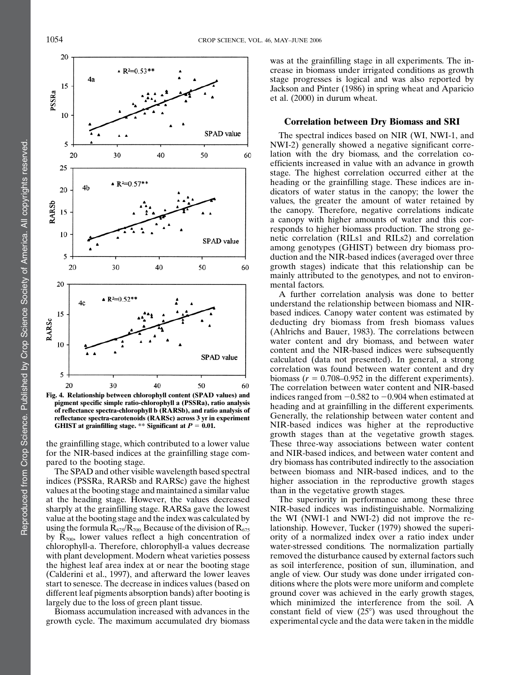

Fig. 4. Relationship between chlorophyll content (SPAD values) and pigment specific simple ratio-chlorophyll a (PSSRa), ratio analysis of reflectance spectra-chlorophyll b (RARSb), and ratio analysis of reflectance spectra-carotenoids (RARSc) across 3 yr in experiment GHIST at grainfilling stage. \*\* Significant at  $P = 0.01$ .

the grainfilling stage, which contributed to a lower value for the NIR-based indices at the grainfilling stage compared to the booting stage.

The SPAD and other visible wavelength based spectral indices (PSSRa, RARSb and RARSc) gave the highest values at the booting stage and maintained a similar value at the heading stage. However, the values decreased sharply at the grainfilling stage. RARSa gave the lowest value at the booting stage and the index was calculated by using the formula  $R_{675}/R_{700}$ . Because of the division of  $R_{675}$ by  $R_{700}$ , lower values reflect a high concentration of chlorophyll-a. Therefore, chlorophyll-a values decrease with plant development. Modern wheat varieties possess the highest leaf area index at or near the booting stage (Calderini et al., 1997), and afterward the lower leaves start to senesce. The decrease in indices values (based on different leaf pigments absorption bands) after booting is largely due to the loss of green plant tissue.

Biomass accumulation increased with advances in the growth cycle. The maximum accumulated dry biomass

was at the grainfilling stage in all experiments. The increase in biomass under irrigated conditions as growth stage progresses is logical and was also reported by Jackson and Pinter (1986) in spring wheat and Aparicio et al. (2000) in durum wheat.

### Correlation between Dry Biomass and SRI

The spectral indices based on NIR (WI, NWI-1, and NWI-2) generally showed a negative significant correlation with the dry biomass, and the correlation coefficients increased in value with an advance in growth stage. The highest correlation occurred either at the heading or the grainfilling stage. These indices are indicators of water status in the canopy; the lower the values, the greater the amount of water retained by the canopy. Therefore, negative correlations indicate a canopy with higher amounts of water and this corresponds to higher biomass production. The strong genetic correlation (RILs1 and RILs2) and correlation among genotypes (GHIST) between dry biomass production and the NIR-based indices (averaged over three growth stages) indicate that this relationship can be mainly attributed to the genotypes, and not to environmental factors.

A further correlation analysis was done to better understand the relationship between biomass and NIRbased indices. Canopy water content was estimated by deducting dry biomass from fresh biomass values (Ahlrichs and Bauer, 1983). The correlations between water content and dry biomass, and between water content and the NIR-based indices were subsequently calculated (data not presented). In general, a strong correlation was found between water content and dry biomass ( $r = 0.708 - 0.952$  in the different experiments). The correlation between water content and NIR-based indices ranged from  $-0.582$  to  $-0.904$  when estimated at heading and at grainfilling in the different experiments. Generally, the relationship between water content and NIR-based indices was higher at the reproductive growth stages than at the vegetative growth stages. These three-way associations between water content and NIR-based indices, and between water content and dry biomass has contributed indirectly to the association between biomass and NIR-based indices, and to the higher association in the reproductive growth stages than in the vegetative growth stages.

The superiority in performance among these three NIR-based indices was indistinguishable. Normalizing the WI (NWI-1 and NWI-2) did not improve the relationship. However, Tucker (1979) showed the superiority of a normalized index over a ratio index under water-stressed conditions. The normalization partially removed the disturbance caused by external factors such as soil interference, position of sun, illumination, and angle of view. Our study was done under irrigated conditions where the plots were more uniform and complete ground cover was achieved in the early growth stages, which minimized the interference from the soil. A constant field of view  $(25^{\circ})$  was used throughout the experimental cycle and the data were taken in the middle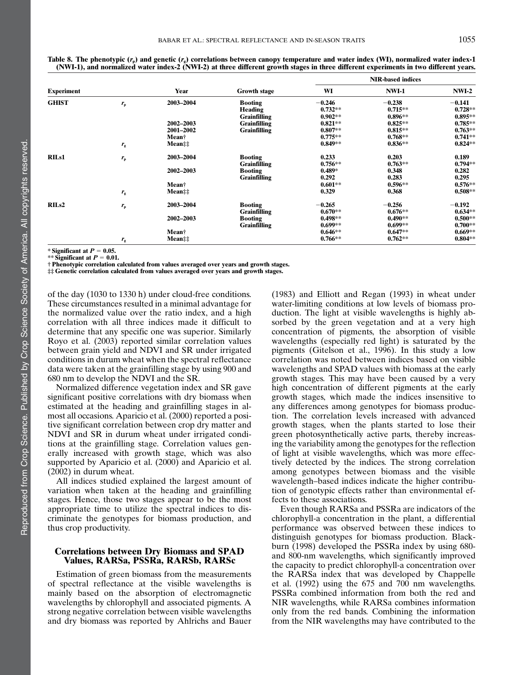|                   |             | Year              | <b>Growth stage</b> | <b>NIR-based indices</b> |              |           |  |
|-------------------|-------------|-------------------|---------------------|--------------------------|--------------|-----------|--|
| <b>Experiment</b> |             |                   |                     | WI                       | <b>NWI-1</b> | $NWI-2$   |  |
| <b>GHIST</b>      | $r_{\rm p}$ | 2003-2004         | <b>Booting</b>      | $-0.246$                 | $-0.238$     | $-0.141$  |  |
|                   |             |                   | Heading             | $0.732**$                | $0.715**$    | $0.728**$ |  |
|                   |             |                   | <b>Grainfilling</b> | $0.902**$                | $0.896**$    | $0.895**$ |  |
|                   |             | 2002-2003         | <b>Grainfilling</b> | $0.821**$                | $0.825**$    | $0.785**$ |  |
|                   |             | 2001-2002         | <b>Grainfilling</b> | $0.807**$                | $0.815**$    | $0.763**$ |  |
|                   |             | Mean <sup>†</sup> |                     | $0.775**$                | $0.768**$    | $0.741**$ |  |
|                   | $r_{\rm g}$ | Mean‡‡            |                     | $0.849**$                | $0.836**$    | $0.824**$ |  |
| <b>RILs1</b>      | $r_{\rm p}$ | 2003-2004         | <b>Booting</b>      | 0.233                    | 0.203        | 0.189     |  |
|                   |             |                   | <b>Grainfilling</b> | $0.756**$                | $0.763**$    | $0.794**$ |  |
|                   |             | 2002-2003         | <b>Booting</b>      | $0.489*$                 | 0.348        | 0.282     |  |
|                   |             |                   | <b>Grainfilling</b> | 0.292                    | 0.283        | 0.295     |  |
|                   |             | Mean <sup>†</sup> |                     | $0.601**$                | $0.596**$    | $0.576**$ |  |
|                   | $r_{\rm g}$ | $Mean$ :          |                     | 0.329                    | 0.368        | $0.508**$ |  |
| RIL <sub>s2</sub> | $r_{\rm p}$ | 2003-2004         | <b>Booting</b>      | $-0.265$                 | $-0.256$     | $-0.192$  |  |
|                   |             |                   | <b>Grainfilling</b> | $0.670**$                | $0.676**$    | $0.634**$ |  |
|                   |             | 2002-2003         | <b>Booting</b>      | $0.498**$                | $0.490**$    | $0.500**$ |  |
|                   |             |                   | <b>Grainfilling</b> | $0.699**$                | $0.699**$    | $0.700**$ |  |
|                   |             | Mean†             |                     | $0.646**$                | $0.647**$    | $0.669**$ |  |
|                   | $r_{\rm g}$ | Mean              |                     | $0.766**$                | $0.762**$    | $0.804**$ |  |

Table 8. The phenotypic  $(r_p)$  and genetic  $(r_g)$  correlations between canopy temperature and water index (WI), normalized water index-1 (NWI-1), and normalized water index-2 (NWI-2) at three different growth stages in three different experiments in two different years.

\* Significant at  $P = 0.05$ . \*\* Significant at  $P = 0.01$ .

† Phenotypic correlation calculated from values averaged over years and growth stages.

‡‡ Genetic correlation calculated from values averaged over years and growth stages.

of the day (1030 to 1330 h) under cloud-free conditions. These circumstances resulted in a minimal advantage for the normalized value over the ratio index, and a high correlation with all three indices made it difficult to determine that any specific one was superior. Similarly Royo et al. (2003) reported similar correlation values between grain yield and NDVI and SR under irrigated conditions in durum wheat when the spectral reflectance data were taken at the grainfilling stage by using 900 and 680 nm to develop the NDVI and the SR.

Normalized difference vegetation index and SR gave significant positive correlations with dry biomass when estimated at the heading and grainfilling stages in almost all occasions. Aparicio et al. (2000) reported a positive significant correlation between crop dry matter and NDVI and SR in durum wheat under irrigated conditions at the grainfilling stage. Correlation values generally increased with growth stage, which was also supported by Aparicio et al. (2000) and Aparicio et al. (2002) in durum wheat.

All indices studied explained the largest amount of variation when taken at the heading and grainfilling stages. Hence, those two stages appear to be the most appropriate time to utilize the spectral indices to discriminate the genotypes for biomass production, and thus crop productivity.

# Correlations between Dry Biomass and SPAD Values, RARSa, PSSRa, RARSb, RARSc

Estimation of green biomass from the measurements of spectral reflectance at the visible wavelengths is mainly based on the absorption of electromagnetic wavelengths by chlorophyll and associated pigments. A strong negative correlation between visible wavelengths and dry biomass was reported by Ahlrichs and Bauer

(1983) and Elliott and Regan (1993) in wheat under water-limiting conditions at low levels of biomass production. The light at visible wavelengths is highly absorbed by the green vegetation and at a very high concentration of pigments, the absorption of visible wavelengths (especially red light) is saturated by the pigments (Gitelson et al., 1996). In this study a low correlation was noted between indices based on visible wavelengths and SPAD values with biomass at the early growth stages. This may have been caused by a very high concentration of different pigments at the early growth stages, which made the indices insensitive to any differences among genotypes for biomass production. The correlation levels increased with advanced growth stages, when the plants started to lose their green photosynthetically active parts, thereby increasing the variability among the genotypes for the reflection of light at visible wavelengths, which was more effectively detected by the indices. The strong correlation among genotypes between biomass and the visible wavelength–based indices indicate the higher contribution of genotypic effects rather than environmental effects to these associations.

Even though RARSa and PSSRa are indicators of the chlorophyll-a concentration in the plant, a differential performance was observed between these indices to distinguish genotypes for biomass production. Blackburn (1998) developed the PSSRa index by using 680 and 800-nm wavelengths, which significantly improved the capacity to predict chlorophyll-a concentration over the RARSa index that was developed by Chappelle et al. (1992) using the 675 and 700 nm wavelengths. PSSRa combined information from both the red and NIR wavelengths, while RARSa combines information only from the red bands. Combining the information from the NIR wavelengths may have contributed to the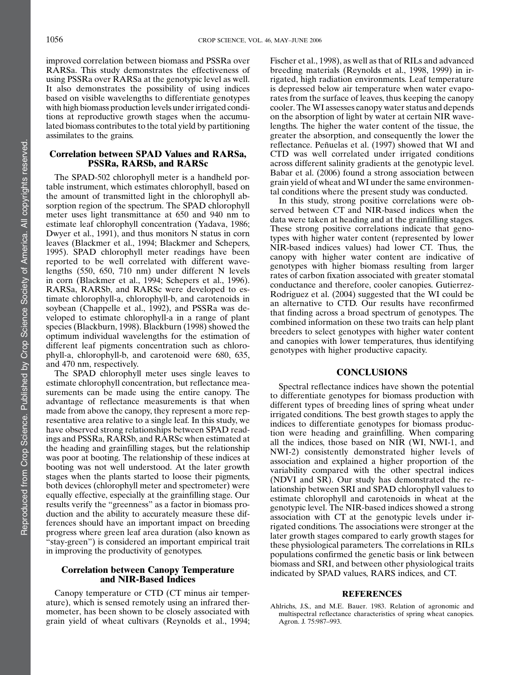improved correlation between biomass and PSSRa over RARSa. This study demonstrates the effectiveness of using PSSRa over RARSa at the genotypic level as well. It also demonstrates the possibility of using indices based on visible wavelengths to differentiate genotypes with high biomass production levels under irrigated conditions at reproductive growth stages when the accumulated biomass contributes to the total yield by partitioning assimilates to the grains.

# Correlation between SPAD Values and RARSa, PSSRa, RARSb, and RARSc

The SPAD-502 chlorophyll meter is a handheld portable instrument, which estimates chlorophyll, based on the amount of transmitted light in the chlorophyll absorption region of the spectrum. The SPAD chlorophyll meter uses light transmittance at 650 and 940 nm to estimate leaf chlorophyll concentration (Yadava, 1986; Dwyer et al., 1991), and thus monitors N status in corn leaves (Blackmer et al., 1994; Blackmer and Schepers, 1995). SPAD chlorophyll meter readings have been reported to be well correlated with different wavelengths (550, 650, 710 nm) under different N levels in corn (Blackmer et al., 1994; Schepers et al., 1996). RARSa, RARSb, and RARSc were developed to estimate chlorophyll-a, chlorophyll-b, and carotenoids in soybean (Chappelle et al., 1992), and PSSRa was developed to estimate chlorophyll-a in a range of plant species (Blackburn, 1998). Blackburn (1998) showed the optimum individual wavelengths for the estimation of different leaf pigments concentration such as chlorophyll-a, chlorophyll-b, and carotenoid were 680, 635, and 470 nm, respectively.

The SPAD chlorophyll meter uses single leaves to estimate chlorophyll concentration, but reflectance measurements can be made using the entire canopy. The advantage of reflectance measurements is that when made from above the canopy, they represent a more representative area relative to a single leaf. In this study, we have observed strong relationships between SPAD readings and PSSRa, RARSb, and RARSc when estimated at the heading and grainfilling stages, but the relationship was poor at booting. The relationship of these indices at booting was not well understood. At the later growth stages when the plants started to loose their pigments, both devices (chlorophyll meter and spectrometer) were equally effective, especially at the grainfilling stage. Our results verify the "greenness" as a factor in biomass production and the ability to accurately measure these differences should have an important impact on breeding progress where green leaf area duration (also known as "stay-green") is considered an important empirical trait in improving the productivity of genotypes.

### Correlation between Canopy Temperature and NIR-Based Indices

Canopy temperature or CTD (CT minus air temperature), which is sensed remotely using an infrared thermometer, has been shown to be closely associated with grain yield of wheat cultivars (Reynolds et al., 1994;

Fischer et al., 1998), as well as that of RILs and advanced breeding materials (Reynolds et al., 1998, 1999) in irrigated, high radiation environments. Leaf temperature is depressed below air temperature when water evaporates from the surface of leaves, thus keeping the canopy cooler. The WI assesses canopy water status and depends on the absorption of light by water at certain NIR wavelengths. The higher the water content of the tissue, the greater the absorption, and consequently the lower the reflectance. Peñuelas et al. (1997) showed that WI and CTD was well correlated under irrigated conditions across different salinity gradients at the genotypic level. Babar et al. (2006) found a strong association between grain yield of wheat and WI under the same environmental conditions where the present study was conducted.

In this study, strong positive correlations were observed between CT and NIR-based indices when the data were taken at heading and at the grainfilling stages. These strong positive correlations indicate that genotypes with higher water content (represented by lower NIR-based indices values) had lower CT. Thus, the canopy with higher water content are indicative of genotypes with higher biomass resulting from larger rates of carbon fixation associated with greater stomatal conductance and therefore, cooler canopies. Gutierrez-Rodriguez et al. (2004) suggested that the WI could be an alternative to CTD. Our results have reconfirmed that finding across a broad spectrum of genotypes. The combined information on these two traits can help plant breeders to select genotypes with higher water content and canopies with lower temperatures, thus identifying genotypes with higher productive capacity.

#### **CONCLUSIONS**

Spectral reflectance indices have shown the potential to differentiate genotypes for biomass production with different types of breeding lines of spring wheat under irrigated conditions. The best growth stages to apply the indices to differentiate genotypes for biomass production were heading and grainfilling. When comparing all the indices, those based on NIR (WI, NWI-1, and NWI-2) consistently demonstrated higher levels of association and explained a higher proportion of the variability compared with the other spectral indices (NDVI and SR). Our study has demonstrated the relationship between SRI and SPAD chlorophyll values to estimate chlorophyll and carotenoids in wheat at the genotypic level. The NIR-based indices showed a strong association with CT at the genotypic levels under irrigated conditions. The associations were stronger at the later growth stages compared to early growth stages for these physiological parameters. The correlations in RILs populations confirmed the genetic basis or link between biomass and SRI, and between other physiological traits indicated by SPAD values, RARS indices, and CT.

### REFERENCES

Ahlrichs, J.S., and M.E. Bauer. 1983. Relation of agronomic and multispectral reflectance characteristics of spring wheat canopies. Agron. J. 75:987–993.